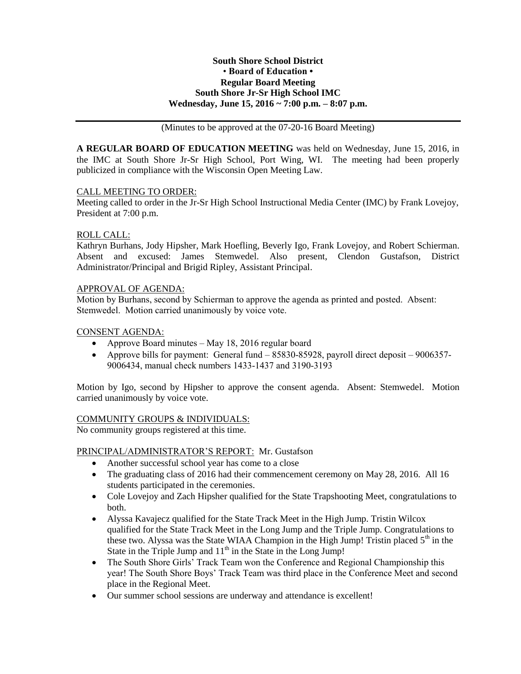### **South Shore School District** • **Board of Education • Regular Board Meeting South Shore Jr-Sr High School IMC Wednesday, June 15, 2016 ~ 7:00 p.m. – 8:07 p.m.**

(Minutes to be approved at the 07-20-16 Board Meeting)

**A REGULAR BOARD OF EDUCATION MEETING** was held on Wednesday, June 15, 2016, in the IMC at South Shore Jr-Sr High School, Port Wing, WI. The meeting had been properly publicized in compliance with the Wisconsin Open Meeting Law.

## CALL MEETING TO ORDER:

Meeting called to order in the Jr-Sr High School Instructional Media Center (IMC) by Frank Lovejoy, President at 7:00 p.m.

### ROLL CALL:

Kathryn Burhans, Jody Hipsher, Mark Hoefling, Beverly Igo, Frank Lovejoy, and Robert Schierman. Absent and excused: James Stemwedel. Also present, Clendon Gustafson, District Administrator/Principal and Brigid Ripley, Assistant Principal.

## APPROVAL OF AGENDA:

Motion by Burhans, second by Schierman to approve the agenda as printed and posted. Absent: Stemwedel. Motion carried unanimously by voice vote.

## CONSENT AGENDA:

- Approve Board minutes May 18, 2016 regular board
- Approve bills for payment: General fund 85830-85928, payroll direct deposit 9006357- 9006434, manual check numbers 1433-1437 and 3190-3193

Motion by Igo, second by Hipsher to approve the consent agenda. Absent: Stemwedel. Motion carried unanimously by voice vote.

### COMMUNITY GROUPS & INDIVIDUALS:

No community groups registered at this time.

# PRINCIPAL/ADMINISTRATOR'S REPORT: Mr. Gustafson

- Another successful school year has come to a close
- The graduating class of 2016 had their commencement ceremony on May 28, 2016. All 16 students participated in the ceremonies.
- Cole Lovejoy and Zach Hipsher qualified for the State Trapshooting Meet, congratulations to both.
- Alyssa Kavajecz qualified for the State Track Meet in the High Jump. Tristin Wilcox qualified for the State Track Meet in the Long Jump and the Triple Jump. Congratulations to these two. Alyssa was the State WIAA Champion in the High Jump! Tristin placed  $5<sup>th</sup>$  in the State in the Triple Jump and  $11<sup>th</sup>$  in the State in the Long Jump!
- The South Shore Girls' Track Team won the Conference and Regional Championship this year! The South Shore Boys' Track Team was third place in the Conference Meet and second place in the Regional Meet.
- Our summer school sessions are underway and attendance is excellent!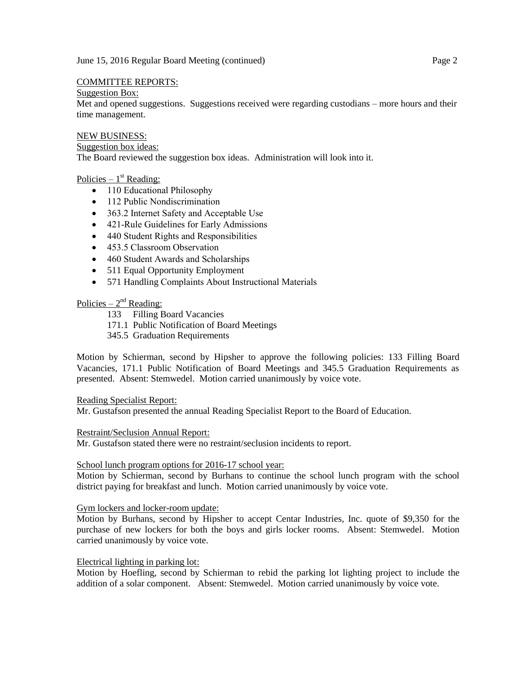#### June 15, 2016 Regular Board Meeting (continued) Page 2

### COMMITTEE REPORTS:

Suggestion Box:

Met and opened suggestions. Suggestions received were regarding custodians – more hours and their time management.

### NEW BUSINESS:

Suggestion box ideas:

The Board reviewed the suggestion box ideas. Administration will look into it.

# Policies  $-1$ <sup>st</sup> Reading:

- 110 Educational Philosophy
- 112 Public Nondiscrimination
- 363.2 Internet Safety and Acceptable Use
- 421-Rule Guidelines for Early Admissions
- 440 Student Rights and Responsibilities
- 453.5 Classroom Observation
- 460 Student Awards and Scholarships
- 511 Equal Opportunity Employment
- 571 Handling Complaints About Instructional Materials

## Policies  $-2^{nd}$  Reading:

- 133 Filling Board Vacancies
- 171.1 Public Notification of Board Meetings
- 345.5 Graduation Requirements

Motion by Schierman, second by Hipsher to approve the following policies: 133 Filling Board Vacancies, 171.1 Public Notification of Board Meetings and 345.5 Graduation Requirements as presented. Absent: Stemwedel. Motion carried unanimously by voice vote.

### Reading Specialist Report:

Mr. Gustafson presented the annual Reading Specialist Report to the Board of Education.

#### Restraint/Seclusion Annual Report:

Mr. Gustafson stated there were no restraint/seclusion incidents to report.

### School lunch program options for 2016-17 school year:

Motion by Schierman, second by Burhans to continue the school lunch program with the school district paying for breakfast and lunch. Motion carried unanimously by voice vote.

### Gym lockers and locker-room update:

Motion by Burhans, second by Hipsher to accept Centar Industries, Inc. quote of \$9,350 for the purchase of new lockers for both the boys and girls locker rooms. Absent: Stemwedel. Motion carried unanimously by voice vote.

#### Electrical lighting in parking lot:

Motion by Hoefling, second by Schierman to rebid the parking lot lighting project to include the addition of a solar component. Absent: Stemwedel. Motion carried unanimously by voice vote.